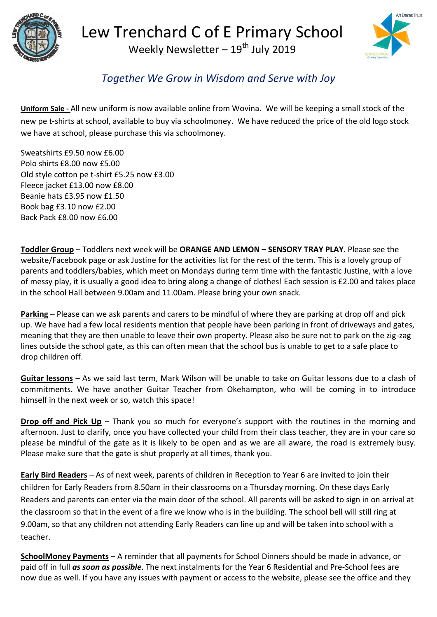



## *Together We Grow in Wisdom and Serve with Joy*

**Uniform Sale -** All new uniform is now available online from Wovina. We will be keeping a small stock of the new pe t-shirts at school, available to buy via schoolmoney. We have reduced the price of the old logo stock we have at school, please purchase this via schoolmoney.

Sweatshirts £9.50 now £6.00 Polo shirts £8.00 now £5.00 Old style cotton pe t-shirt £5.25 now £3.00 Fleece jacket £13.00 now £8.00 Beanie hats £3.95 now £1.50 Book bag £3.10 now £2.00 Back Pack £8.00 now £6.00

**Toddler Group** – Toddlers next week will be **ORANGE AND LEMON – SENSORY TRAY PLAY**. Please see the website/Facebook page or ask Justine for the activities list for the rest of the term. This is a lovely group of parents and toddlers/babies, which meet on Mondays during term time with the fantastic Justine, with a love of messy play, it is usually a good idea to bring along a change of clothes! Each session is £2.00 and takes place in the school Hall between 9.00am and 11.00am. Please bring your own snack.

**Parking** – Please can we ask parents and carers to be mindful of where they are parking at drop off and pick up. We have had a few local residents mention that people have been parking in front of driveways and gates, meaning that they are then unable to leave their own property. Please also be sure not to park on the zig-zag lines outside the school gate, as this can often mean that the school bus is unable to get to a safe place to drop children off.

**Guitar lessons** – As we said last term, Mark Wilson will be unable to take on Guitar lessons due to a clash of commitments. We have another Guitar Teacher from Okehampton, who will be coming in to introduce himself in the next week or so, watch this space!

**Drop off and Pick Up** – Thank you so much for everyone's support with the routines in the morning and afternoon. Just to clarify, once you have collected your child from their class teacher, they are in your care so please be mindful of the gate as it is likely to be open and as we are all aware, the road is extremely busy. Please make sure that the gate is shut properly at all times, thank you.

**Early Bird Readers** – As of next week, parents of children in Reception to Year 6 are invited to join their children for Early Readers from 8.50am in their classrooms on a Thursday morning. On these days Early Readers and parents can enter via the main door of the school. All parents will be asked to sign in on arrival at the classroom so that in the event of a fire we know who is in the building. The school bell will still ring at 9.00am, so that any children not attending Early Readers can line up and will be taken into school with a teacher.

**SchoolMoney Payments** – A reminder that all payments for School Dinners should be made in advance, or paid off in full *as soon as possible*. The next instalments for the Year 6 Residential and Pre-School fees are now due as well. If you have any issues with payment or access to the website, please see the office and they